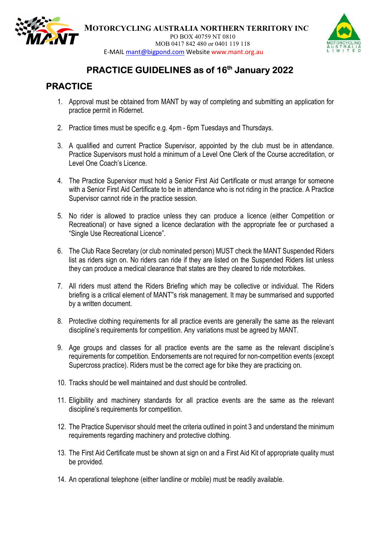

MOTORCYCLING AUSTRALIA NORTHERN TERRITORY INC PO BOX 40759 NT 0810 MOB 0417 842 480 or 0401 119 118 E-MAIL mant@bigpond.com Website www.mant.org.au



## PRACTICE GUIDELINES as of 16<sup>th</sup> January 2022

## PRACTICE

- 1. Approval must be obtained from MANT by way of completing and submitting an application for practice permit in Ridernet.
- 2. Practice times must be specific e.g. 4pm 6pm Tuesdays and Thursdays.
- 3. A qualified and current Practice Supervisor, appointed by the club must be in attendance. Practice Supervisors must hold a minimum of a Level One Clerk of the Course accreditation, or Level One Coach's Licence.
- 4. The Practice Supervisor must hold a Senior First Aid Certificate or must arrange for someone with a Senior First Aid Certificate to be in attendance who is not riding in the practice. A Practice Supervisor cannot ride in the practice session.
- 5. No rider is allowed to practice unless they can produce a licence (either Competition or Recreational) or have signed a licence declaration with the appropriate fee or purchased a "Single Use Recreational Licence".
- 6. The Club Race Secretary (or club nominated person) MUST check the MANT Suspended Riders list as riders sign on. No riders can ride if they are listed on the Suspended Riders list unless they can produce a medical clearance that states are they cleared to ride motorbikes.
- 7. All riders must attend the Riders Briefing which may be collective or individual. The Riders briefing is a critical element of MANT"s risk management. It may be summarised and supported by a written document.
- 8. Protective clothing requirements for all practice events are generally the same as the relevant discipline's requirements for competition. Any variations must be agreed by MANT.
- 9. Age groups and classes for all practice events are the same as the relevant discipline's requirements for competition. Endorsements are not required for non-competition events (except Supercross practice). Riders must be the correct age for bike they are practicing on.
- 10. Tracks should be well maintained and dust should be controlled.
- 11. Eligibility and machinery standards for all practice events are the same as the relevant discipline's requirements for competition.
- 12. The Practice Supervisor should meet the criteria outlined in point 3 and understand the minimum requirements regarding machinery and protective clothing.
- 13. The First Aid Certificate must be shown at sign on and a First Aid Kit of appropriate quality must be provided.
- 14. An operational telephone (either landline or mobile) must be readily available.